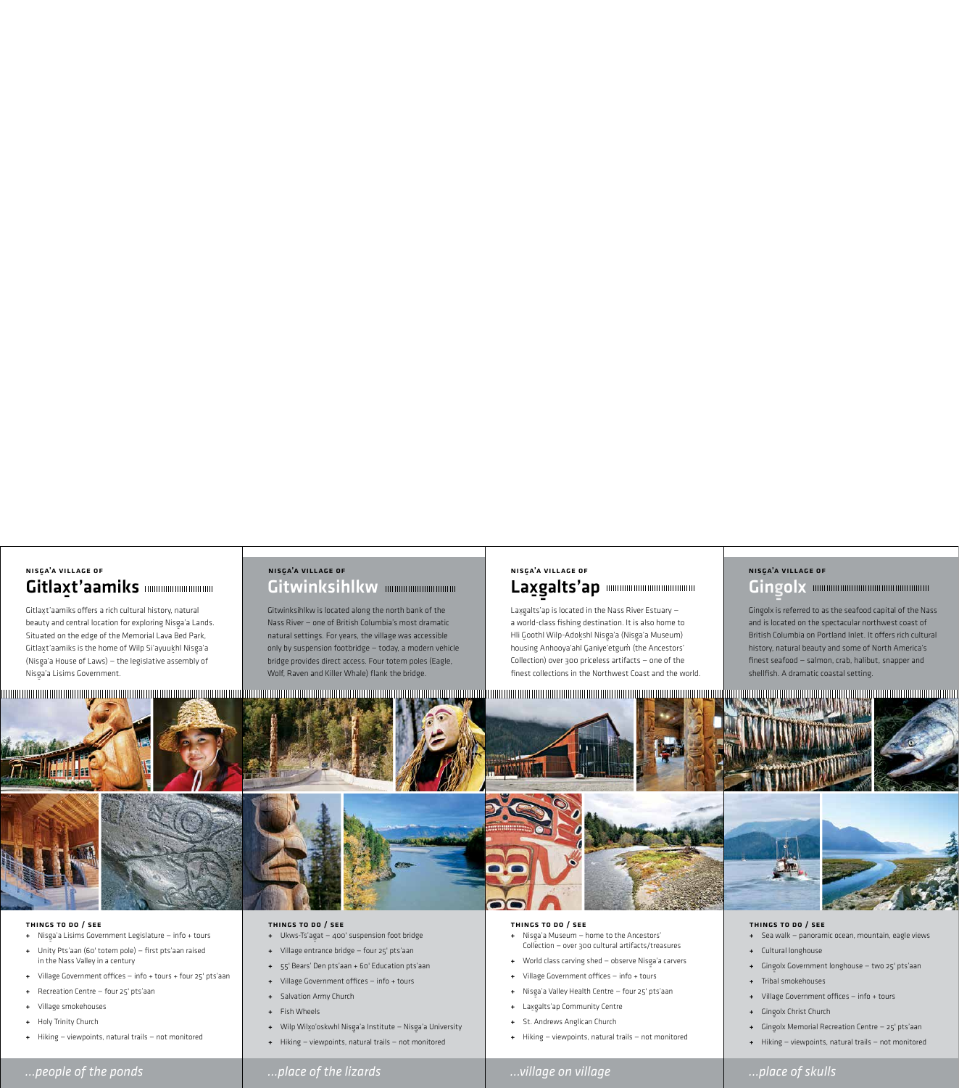### *…people of the ponds …place of the lizards …village on village …place of skulls*



#### Things to do / see

- <sup>+</sup> Nisg-a'a Lisims Government Legislature info + tours
- + Unity Pts'aan (60' totem pole) first pts'aan raised in the Nass Valley in a century
- + Village Government offices info + tours + four 25' pts'aan
- + Recreation Centre four 25' pts'aan
- + Village smokehouses
- + Holy Trinity Church
- + Hiking viewpoints, natural trails not monitored

#### Things to do / see

- + Nisga'a Museum home to the Ancestors'<br>Collection over 200 sultural artifacts (tro Collection — over 300 cultural artifacts/treasures
- + World class carving shed observe Nisga'a carvers
- + Village Government offices info + tours
- <sup>+</sup> Nisg-a'a Valley Health Centre four 25' pts'aan
- + Lax-g alts'ap Community Centre
- + St. Andrews Anglican Church
- $Hiking viewpoints, natural trails not monitored$

- + Ukws-Ts'agat 400' suspension foot bridge
- + Village entrance bridge four 25' pts'aan
- + 55' Bears' Den pts'aan + 60' Education pts'aan
- + Village Government offices info + tours
- + Salvation Army Church
- + Fish Wheels
- + Wilp Wil $x$ o'oskwhl Nisga'a Institute Nisga'a University
- + Hiking viewpoints, natural trails not monitored

#### Things to do / see

# Gitlaxt'a amiks Nisg-a'a village of

Gitlaxt'aamiks offers a rich cultural history, natural beauty and central location for exploring Nisga'a Lands.<br>Clares in the contract of the contract of the contract of the contract of the contract of the contract of the Situated on the edge of the Memorial Lava Bed Park, Gitlax-t'aamiks is the home of Wilp Si'ayuuk-hl Nisg-a'a (Nisga'a House of Laws) – the legislative assembly of<br>、 Nisga'a Lisims Government.

#### Things to do / see

- + Sea walk panoramic ocean, mountain, eagle views
- + Cultural longhouse
- <sup>+</sup> Ging-olx Government longhouse two 25' pts'aan
- + Tribal smokehouses
- + Village Government offices info + tours
- + Gingolx Christ Church
- <sup>+</sup> Ging-olx Memorial Recreation Centre 25' pts'aan
- + Hiking viewpoints, natural trails not monitored

# Gitwinksihlkw mmmmmmmmm Nisg-a'a village of Nisg-

# **Gingolx** <u>ی</u><br>a'a village of

Gitwinksihlkw is located along the north bank of the Nass River — one of British Columbia's most dramatic natural settings. For years, the village was accessible only by suspension footbridge — today, a modern vehicle bridge provides direct access. Four totem poles (Eagle, Wolf, Raven and Killer Whale) flank the bridge.

#### Laxg ם<br>alts'ap NISGA'A VILLAGE OF

Lax-g - alts'ap is located in the Nass River Estuary a world-class fishing destination. It is also home to Hli Goothl Wilp-Adokshl Nisga'a (Nisga'a Museum)<br>. housing Anhooya'ahl Ganiye'etgum (the Ancestors' Collection) over 300 priceless artifacts — one of the finest collections in the Northwest Coast and the world.







Ging-olx is referred to as the seafood capital of the Nass and is located on the spectacular northwest coast of British Columbia on Portland Inlet. It offers rich cultural history, natural beauty and some of North America's finest seafood — salmon, crab, halibut, snapper and shellfish. A dramatic coastal setting.